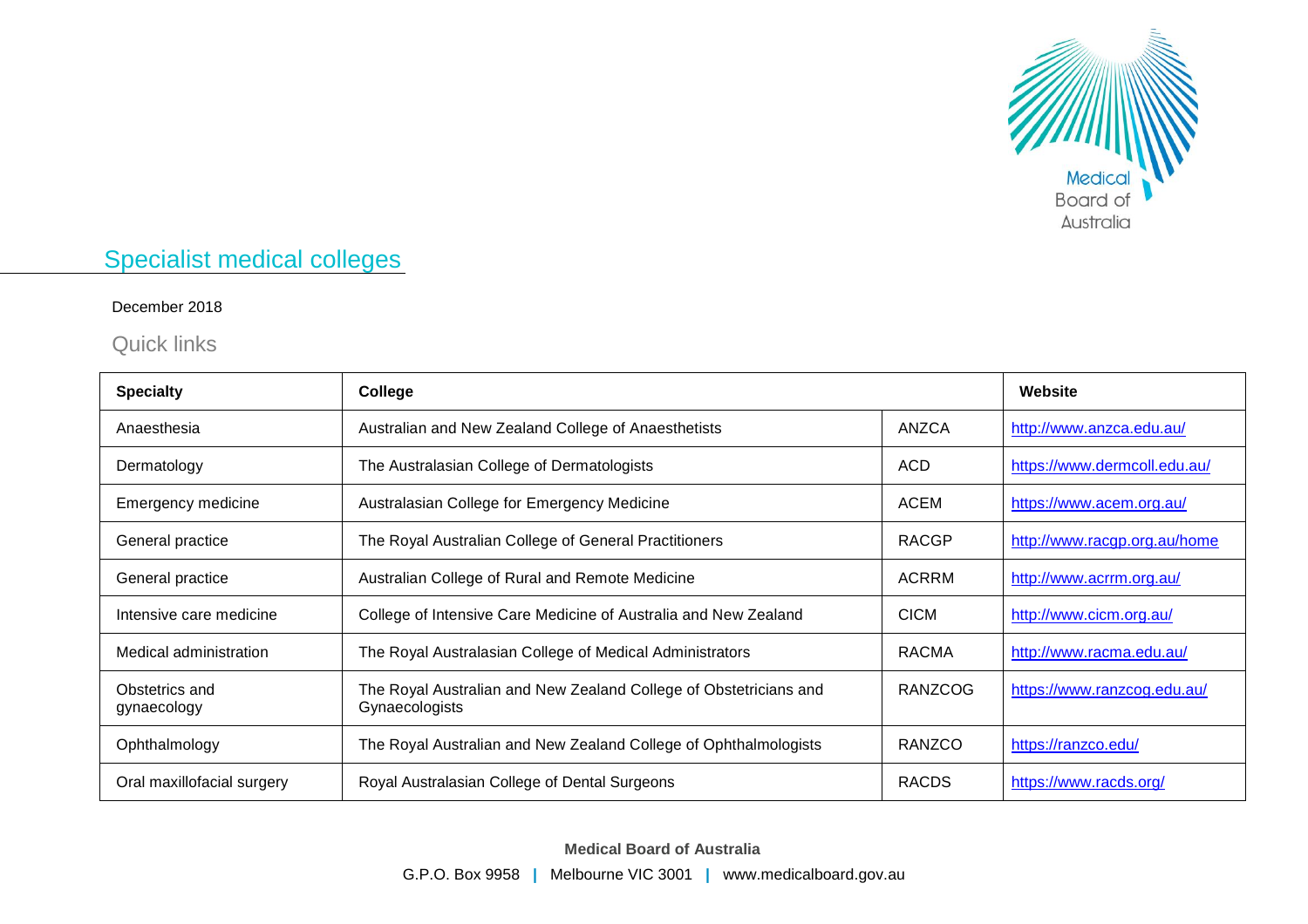

## Specialist medical colleges

## December 2018

Quick links

| <b>Specialty</b>              | <b>College</b>                                                                      |              | Website                      |
|-------------------------------|-------------------------------------------------------------------------------------|--------------|------------------------------|
| Anaesthesia                   | Australian and New Zealand College of Anaesthetists                                 | ANZCA        | http://www.anzca.edu.au/     |
| Dermatology                   | The Australasian College of Dermatologists                                          | <b>ACD</b>   | https://www.dermcoll.edu.au/ |
| Emergency medicine            | Australasian College for Emergency Medicine                                         | ACEM         | https://www.acem.org.au/     |
| General practice              | The Royal Australian College of General Practitioners                               | <b>RACGP</b> | http://www.racgp.org.au/home |
| General practice              | Australian College of Rural and Remote Medicine                                     | <b>ACRRM</b> | http://www.acrrm.org.au/     |
| Intensive care medicine       | College of Intensive Care Medicine of Australia and New Zealand                     | <b>CICM</b>  | http://www.cicm.org.au/      |
| Medical administration        | The Royal Australasian College of Medical Administrators                            | <b>RACMA</b> | http://www.racma.edu.au/     |
| Obstetrics and<br>gynaecology | The Royal Australian and New Zealand College of Obstetricians and<br>Gynaecologists | RANZCOG      | https://www.ranzcog.edu.au/  |
| Ophthalmology                 | The Royal Australian and New Zealand College of Ophthalmologists                    | RANZCO       | https://ranzco.edu/          |
| Oral maxillofacial surgery    | Royal Australasian College of Dental Surgeons                                       | <b>RACDS</b> | https://www.racds.org/       |